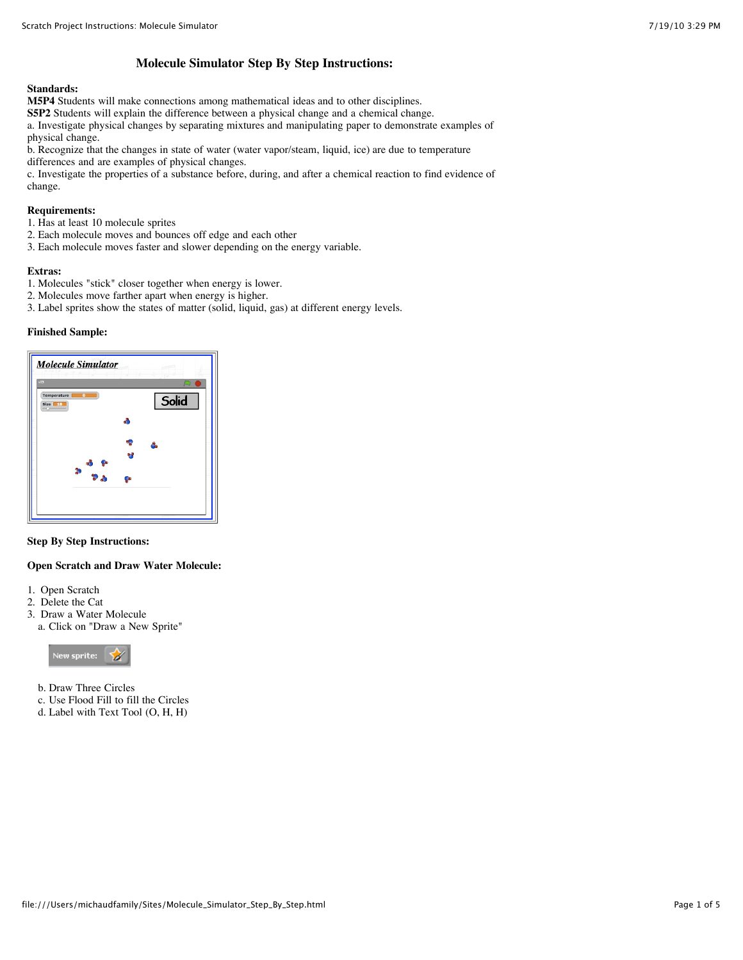# **Molecule Simulator Step By Step Instructions:**

#### **Standards:**

**M5P4** Students will make connections among mathematical ideas and to other disciplines.

**S5P2** Students will explain the difference between a physical change and a chemical change.

a. Investigate physical changes by separating mixtures and manipulating paper to demonstrate examples of physical change.

b. Recognize that the changes in state of water (water vapor/steam, liquid, ice) are due to temperature differences and are examples of physical changes.

c. Investigate the properties of a substance before, during, and after a chemical reaction to find evidence of change.

## **Requirements:**

1. Has at least 10 molecule sprites

- 2. Each molecule moves and bounces off edge and each other
- 3. Each molecule moves faster and slower depending on the energy variable.

#### **Extras:**

- 1. Molecules "stick" closer together when energy is lower.
- 2. Molecules move farther apart when energy is higher.
- 3. Label sprites show the states of matter (solid, liquid, gas) at different energy levels.

#### **Finished Sample:**

| Temperature<br>$\overline{\bullet}$<br>Size 18 |                                                                                              |    | Solid |
|------------------------------------------------|----------------------------------------------------------------------------------------------|----|-------|
|                                                |                                                                                              | d  |       |
|                                                |                                                                                              |    |       |
|                                                | $\begin{array}{c}\n\bullet & \bullet \\ \bullet & \bullet \\ \bullet & \bullet\n\end{array}$ |    |       |
|                                                |                                                                                              | ФÞ |       |

#### **Step By Step Instructions:**

#### **Open Scratch and Draw Water Molecule:**

- 1. Open Scratch
- 2. Delete the Cat
- 3. Draw a Water Molecule
- a. Click on "Draw a New Sprite"



- b. Draw Three Circles
- c. Use Flood Fill to fill the Circles
- d. Label with Text Tool (O, H, H)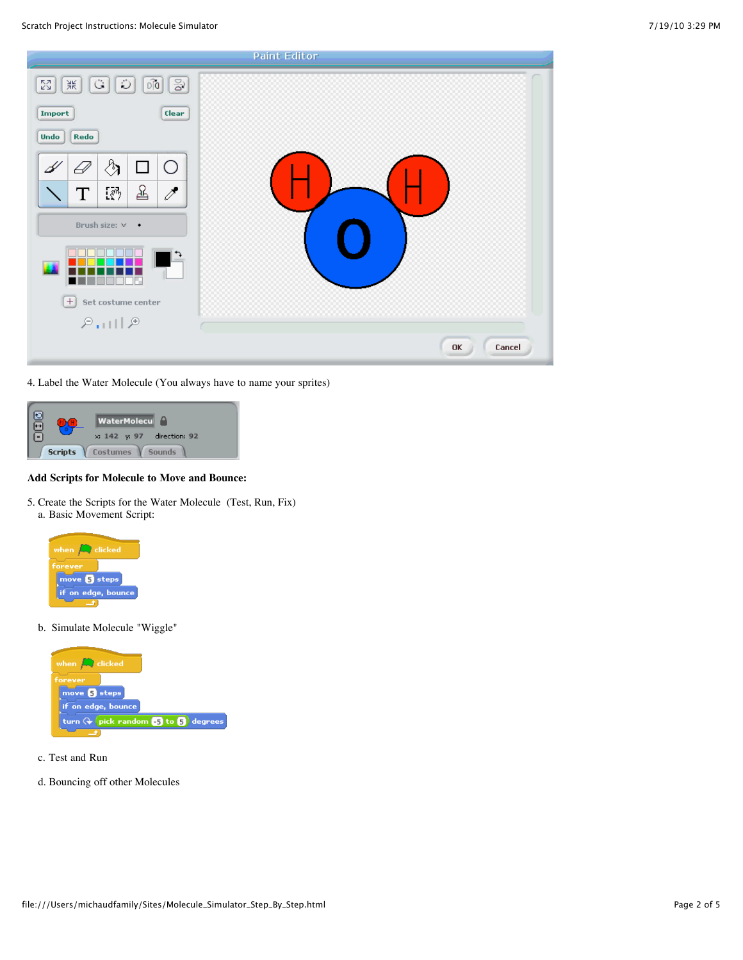

4. Label the Water Molecule (You always have to name your sprites)



# **Add Scripts for Molecule to Move and Bounce:**

5. Create the Scripts for the Water Molecule (Test, Run, Fix) a. Basic Movement Script:



b. Simulate Molecule "Wiggle"



- c. Test and Run
- d. Bouncing off other Molecules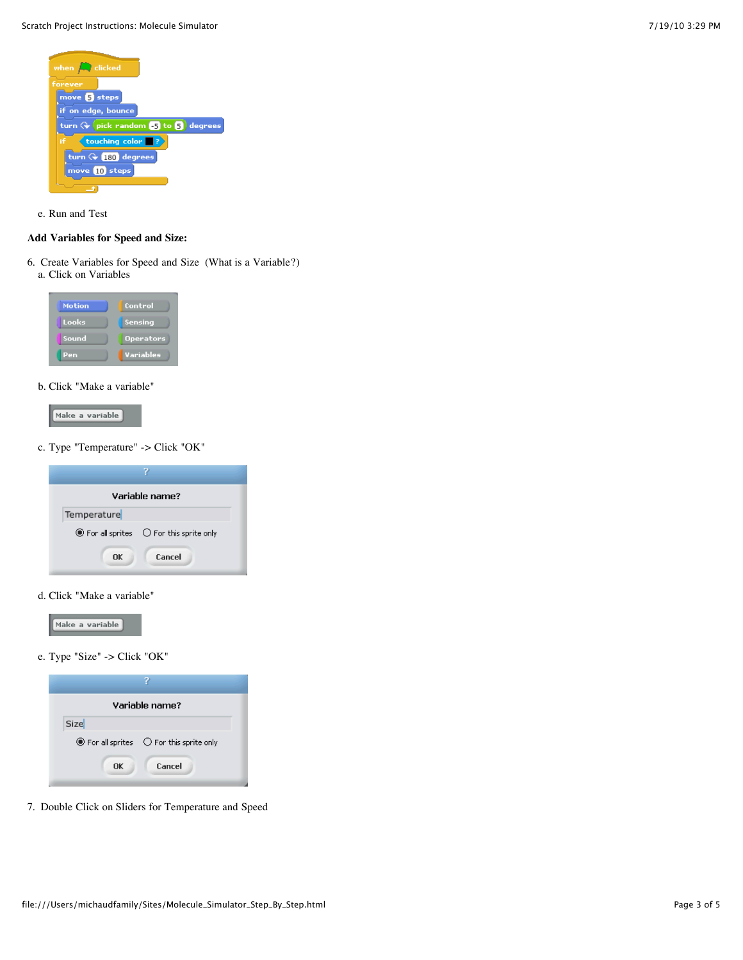

e. Run and Test

## **Add Variables for Speed and Size:**

6. Create Variables for Speed and Size (What is a Variable?) a. Click on Variables

| <b>Motion</b> | Control          |
|---------------|------------------|
| Looks         | Sensing          |
| Sound         | <b>Operators</b> |
| Pen           | Variables        |

# b. Click "Make a variable"



c. Type "Temperature" -> Click "OK"

| Variable name?                                                          |
|-------------------------------------------------------------------------|
| Temperature                                                             |
| $\circledcirc$ For all sprites $\circlearrowright$ For this sprite only |
| Cancel<br>OK                                                            |

d. Click "Make a variable"



e. Type "Size" -> Click "OK"

| Variable name?                                                          |  |  |  |
|-------------------------------------------------------------------------|--|--|--|
|                                                                         |  |  |  |
| $\circledcirc$ For all sprites $\circlearrowright$ For this sprite only |  |  |  |
| Cancel                                                                  |  |  |  |
|                                                                         |  |  |  |

7. Double Click on Sliders for Temperature and Speed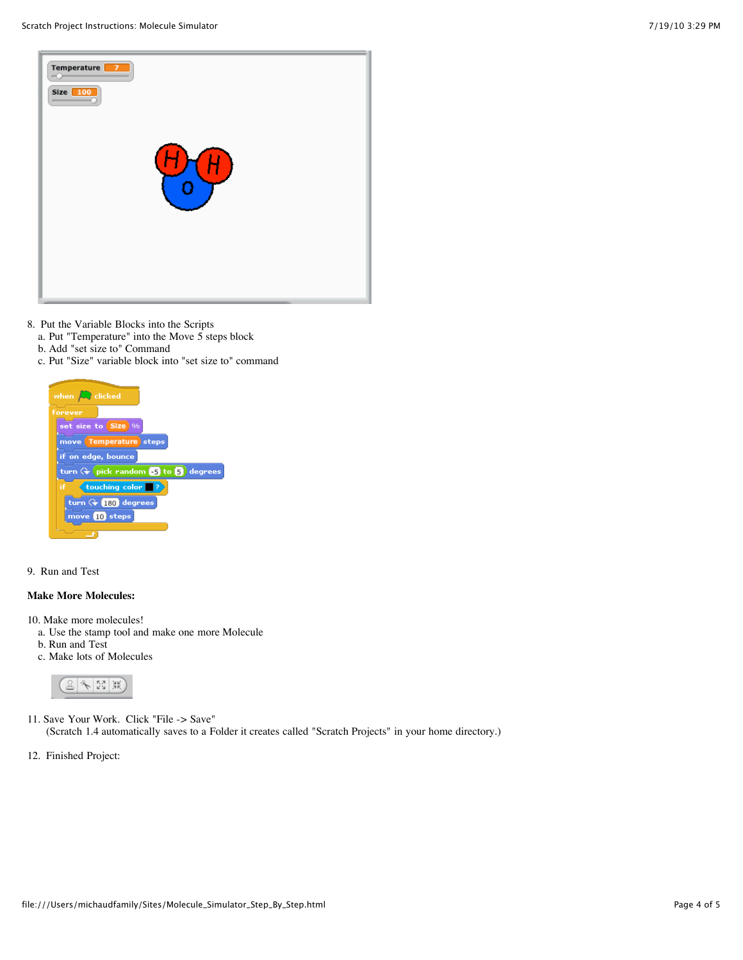

- 8. Put the Variable Blocks into the Scripts
	- a. Put "Temperature" into the Move 5 steps block
	- b. Add "set size to" Command
	- c. Put "Size" variable block into "set size to" command



9. Run and Test

# **Make More Molecules:**

- 10. Make more molecules!
- a. Use the stamp tool and make one more Molecule
- b. Run and Test
- c. Make lots of Molecules



- 11. Save Your Work. Click "File -> Save" (Scratch 1.4 automatically saves to a Folder it creates called "Scratch Projects" in your home directory.)
- 12. Finished Project: